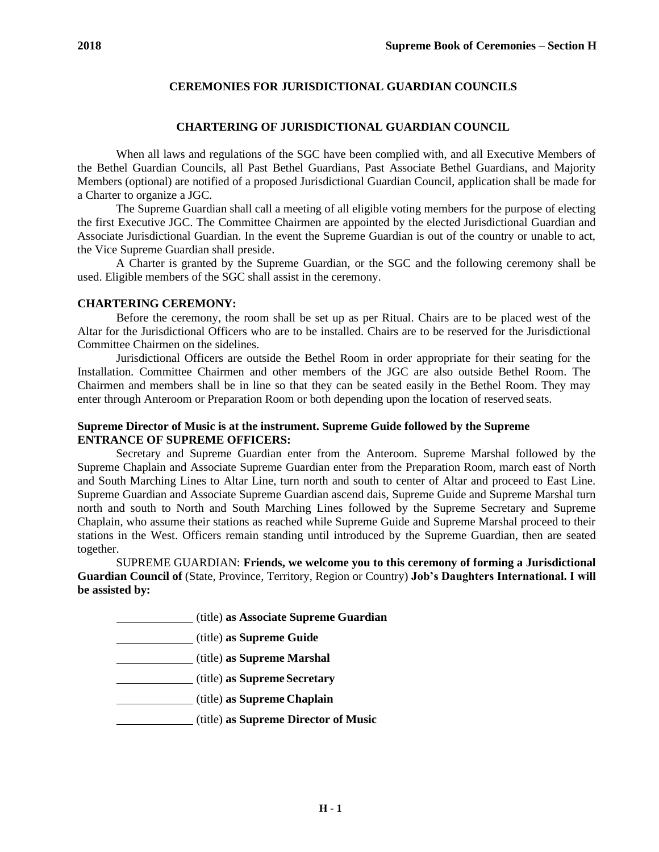# **CEREMONIES FOR JURISDICTIONAL GUARDIAN COUNCILS**

## **CHARTERING OF JURISDICTIONAL GUARDIAN COUNCIL**

When all laws and regulations of the SGC have been complied with, and all Executive Members of the Bethel Guardian Councils, all Past Bethel Guardians, Past Associate Bethel Guardians, and Majority Members (optional) are notified of a proposed Jurisdictional Guardian Council, application shall be made for a Charter to organize a JGC.

The Supreme Guardian shall call a meeting of all eligible voting members for the purpose of electing the first Executive JGC. The Committee Chairmen are appointed by the elected Jurisdictional Guardian and Associate Jurisdictional Guardian. In the event the Supreme Guardian is out of the country or unable to act, the Vice Supreme Guardian shall preside.

A Charter is granted by the Supreme Guardian, or the SGC and the following ceremony shall be used. Eligible members of the SGC shall assist in the ceremony.

## **CHARTERING CEREMONY:**

Before the ceremony, the room shall be set up as per Ritual. Chairs are to be placed west of the Altar for the Jurisdictional Officers who are to be installed. Chairs are to be reserved for the Jurisdictional Committee Chairmen on the sidelines.

Jurisdictional Officers are outside the Bethel Room in order appropriate for their seating for the Installation. Committee Chairmen and other members of the JGC are also outside Bethel Room. The Chairmen and members shall be in line so that they can be seated easily in the Bethel Room. They may enter through Anteroom or Preparation Room or both depending upon the location of reserved seats.

## **Supreme Director of Music is at the instrument. Supreme Guide followed by the Supreme ENTRANCE OF SUPREME OFFICERS:**

Secretary and Supreme Guardian enter from the Anteroom. Supreme Marshal followed by the Supreme Chaplain and Associate Supreme Guardian enter from the Preparation Room, march east of North and South Marching Lines to Altar Line, turn north and south to center of Altar and proceed to East Line. Supreme Guardian and Associate Supreme Guardian ascend dais, Supreme Guide and Supreme Marshal turn north and south to North and South Marching Lines followed by the Supreme Secretary and Supreme Chaplain, who assume their stations as reached while Supreme Guide and Supreme Marshal proceed to their stations in the West. Officers remain standing until introduced by the Supreme Guardian, then are seated together.

SUPREME GUARDIAN: **Friends, we welcome you to this ceremony of forming a Jurisdictional Guardian Council of** (State, Province, Territory, Region or Country) **Job's Daughters International. I will be assisted by:**

(title) **as Associate Supreme Guardian**

(title) **as Supreme Guide**

(title) **as Supreme Marshal**

(title) **as Supreme Secretary**

(title) **as Supreme Chaplain**

(title) **as Supreme Director of Music**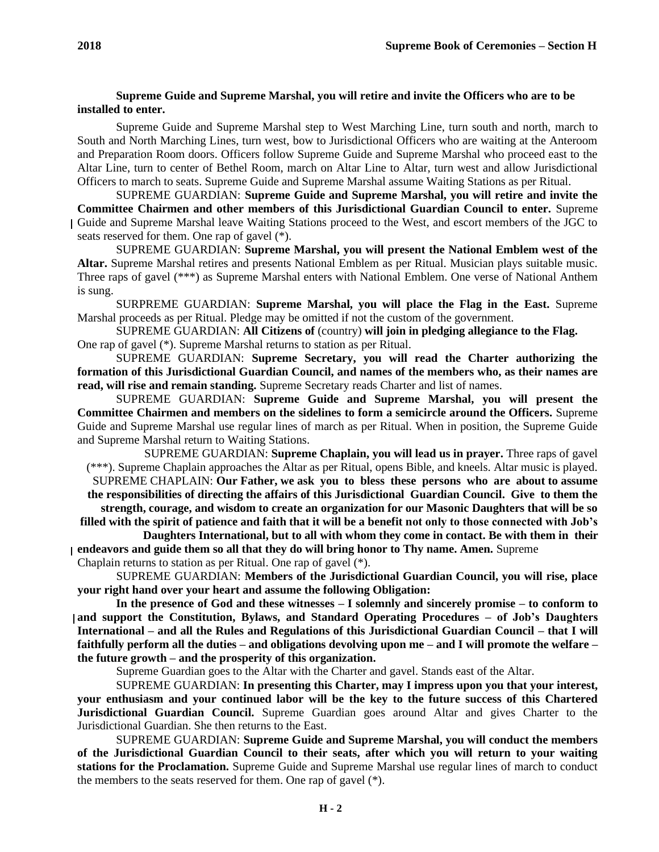## **Supreme Guide and Supreme Marshal, you will retire and invite the Officers who are to be installed to enter.**

Supreme Guide and Supreme Marshal step to West Marching Line, turn south and north, march to South and North Marching Lines, turn west, bow to Jurisdictional Officers who are waiting at the Anteroom and Preparation Room doors. Officers follow Supreme Guide and Supreme Marshal who proceed east to the Altar Line, turn to center of Bethel Room, march on Altar Line to Altar, turn west and allow Jurisdictional Officers to march to seats. Supreme Guide and Supreme Marshal assume Waiting Stations as per Ritual.

SUPREME GUARDIAN: **Supreme Guide and Supreme Marshal, you will retire and invite the Committee Chairmen and other members of this Jurisdictional Guardian Council to enter.** Supreme Guide and Supreme Marshal leave Waiting Stations proceed to the West, and escort members of the JGC to seats reserved for them. One rap of gavel (\*).

SUPREME GUARDIAN: **Supreme Marshal, you will present the National Emblem west of the Altar.** Supreme Marshal retires and presents National Emblem as per Ritual. Musician plays suitable music. Three raps of gavel (\*\*\*) as Supreme Marshal enters with National Emblem. One verse of National Anthem is sung.

SURPREME GUARDIAN: **Supreme Marshal, you will place the Flag in the East.** Supreme Marshal proceeds as per Ritual. Pledge may be omitted if not the custom of the government.

SUPREME GUARDIAN: **All Citizens of** (country) **will join in pledging allegiance to the Flag.** One rap of gavel (\*). Supreme Marshal returns to station as per Ritual.

SUPREME GUARDIAN: **Supreme Secretary, you will read the Charter authorizing the formation of this Jurisdictional Guardian Council, and names of the members who, as their names are read, will rise and remain standing.** Supreme Secretary reads Charter and list of names.

SUPREME GUARDIAN: **Supreme Guide and Supreme Marshal, you will present the Committee Chairmen and members on the sidelines to form a semicircle around the Officers.** Supreme Guide and Supreme Marshal use regular lines of march as per Ritual. When in position, the Supreme Guide and Supreme Marshal return to Waiting Stations.

SUPREME GUARDIAN: **Supreme Chaplain, you will lead us in prayer.** Three raps of gavel (\*\*\*). Supreme Chaplain approaches the Altar as per Ritual, opens Bible, and kneels. Altar music is played. SUPREME CHAPLAIN: **Our Father, we ask you to bless these persons who are about to assume**

**the responsibilities of directing the affairs of this Jurisdictional Guardian Council. Give to them the strength, courage, and wisdom to create an organization for our Masonic Daughters that will be so**

**filled with the spirit of patience and faith that it will be a benefit not only to those connected with Job's Daughters International, but to all with whom they come in contact. Be with them in their endeavors and guide them so all that they do will bring honor to Thy name. Amen.** Supreme

Chaplain returns to station as per Ritual. One rap of gavel (\*).

SUPREME GUARDIAN: **Members of the Jurisdictional Guardian Council, you will rise, place your right hand over your heart and assume the following Obligation:**

**In the presence of God and these witnesses – I solemnly and sincerely promise – to conform to and support the Constitution, Bylaws, and Standard Operating Procedures – of Job's Daughters International – and all the Rules and Regulations of this Jurisdictional Guardian Council – that I will faithfully perform all the duties – and obligations devolving upon me – and I will promote the welfare – the future growth – and the prosperity of this organization.**

Supreme Guardian goes to the Altar with the Charter and gavel. Stands east of the Altar.

SUPREME GUARDIAN: **In presenting this Charter, may I impress upon you that your interest, your enthusiasm and your continued labor will be the key to the future success of this Chartered Jurisdictional Guardian Council.** Supreme Guardian goes around Altar and gives Charter to the Jurisdictional Guardian. She then returns to the East.

SUPREME GUARDIAN: **Supreme Guide and Supreme Marshal, you will conduct the members of the Jurisdictional Guardian Council to their seats, after which you will return to your waiting stations for the Proclamation.** Supreme Guide and Supreme Marshal use regular lines of march to conduct the members to the seats reserved for them. One rap of gavel (\*).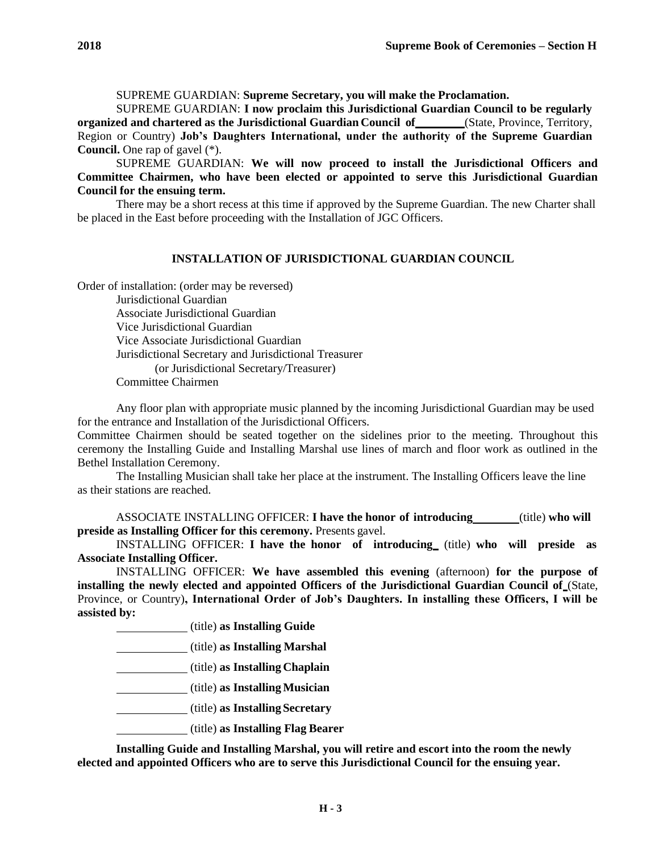SUPREME GUARDIAN: **Supreme Secretary, you will make the Proclamation.**

SUPREME GUARDIAN: **I now proclaim this Jurisdictional Guardian Council to be regularly organized and chartered as the Jurisdictional Guardian Council of** (State, Province, Territory, Region or Country) **Job's Daughters International, under the authority of the Supreme Guardian Council.** One rap of gavel (\*).

SUPREME GUARDIAN: **We will now proceed to install the Jurisdictional Officers and Committee Chairmen, who have been elected or appointed to serve this Jurisdictional Guardian Council for the ensuing term.**

There may be a short recess at this time if approved by the Supreme Guardian. The new Charter shall be placed in the East before proceeding with the Installation of JGC Officers.

#### **INSTALLATION OF JURISDICTIONAL GUARDIAN COUNCIL**

Order of installation: (order may be reversed) Jurisdictional Guardian Associate Jurisdictional Guardian Vice Jurisdictional Guardian Vice Associate Jurisdictional Guardian Jurisdictional Secretary and Jurisdictional Treasurer (or Jurisdictional Secretary/Treasurer) Committee Chairmen

Any floor plan with appropriate music planned by the incoming Jurisdictional Guardian may be used for the entrance and Installation of the Jurisdictional Officers.

Committee Chairmen should be seated together on the sidelines prior to the meeting. Throughout this ceremony the Installing Guide and Installing Marshal use lines of march and floor work as outlined in the Bethel Installation Ceremony.

The Installing Musician shall take her place at the instrument. The Installing Officers leave the line as their stations are reached.

ASSOCIATE INSTALLING OFFICER: **I have the honor of introducing** (title) **who will preside as Installing Officer for this ceremony.** Presents gavel.

INSTALLING OFFICER: **I have the honor of introducing** (title) **who will preside as Associate Installing Officer.**

INSTALLING OFFICER: **We have assembled this evening** (afternoon) **for the purpose of installing the newly elected and appointed Officers of the Jurisdictional Guardian Council of** (State, Province, or Country)**, International Order of Job's Daughters. In installing these Officers, I will be assisted by:**

(title) **as Installing Guide**

(title) **as Installing Marshal**

(title) **as Installing Chaplain**

(title) **as InstallingMusician**

(title) **as Installing Secretary**

(title) **as Installing Flag Bearer**

**Installing Guide and Installing Marshal, you will retire and escort into the room the newly elected and appointed Officers who are to serve this Jurisdictional Council for the ensuing year.**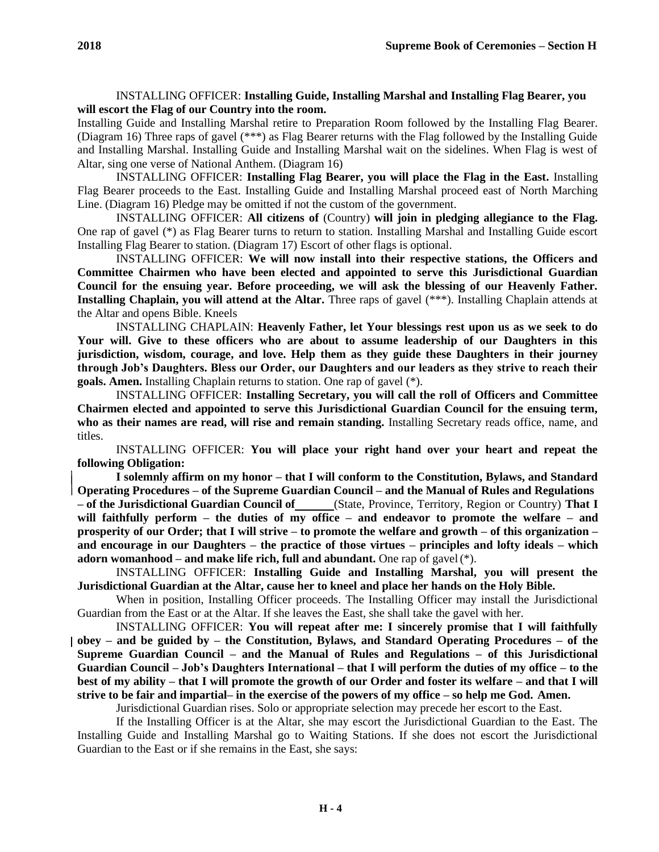# INSTALLING OFFICER: **Installing Guide, Installing Marshal and Installing Flag Bearer, you will escort the Flag of our Country into the room.**

Installing Guide and Installing Marshal retire to Preparation Room followed by the Installing Flag Bearer. (Diagram 16) Three raps of gavel (\*\*\*) as Flag Bearer returns with the Flag followed by the Installing Guide and Installing Marshal. Installing Guide and Installing Marshal wait on the sidelines. When Flag is west of Altar, sing one verse of National Anthem. (Diagram 16)

INSTALLING OFFICER: **Installing Flag Bearer, you will place the Flag in the East.** Installing Flag Bearer proceeds to the East. Installing Guide and Installing Marshal proceed east of North Marching Line. (Diagram 16) Pledge may be omitted if not the custom of the government.

INSTALLING OFFICER: **All citizens of** (Country) **will join in pledging allegiance to the Flag.**  One rap of gavel (\*) as Flag Bearer turns to return to station. Installing Marshal and Installing Guide escort Installing Flag Bearer to station. (Diagram 17) Escort of other flags is optional.

INSTALLING OFFICER: **We will now install into their respective stations, the Officers and Committee Chairmen who have been elected and appointed to serve this Jurisdictional Guardian Council for the ensuing year. Before proceeding, we will ask the blessing of our Heavenly Father. Installing Chaplain, you will attend at the Altar.** Three raps of gavel (\*\*\*). Installing Chaplain attends at the Altar and opens Bible. Kneels

INSTALLING CHAPLAIN: **Heavenly Father, let Your blessings rest upon us as we seek to do Your will. Give to these officers who are about to assume leadership of our Daughters in this jurisdiction, wisdom, courage, and love. Help them as they guide these Daughters in their journey through Job's Daughters. Bless our Order, our Daughters and our leaders as they strive to reach their goals. Amen.** Installing Chaplain returns to station. One rap of gavel (\*).

INSTALLING OFFICER: **Installing Secretary, you will call the roll of Officers and Committee Chairmen elected and appointed to serve this Jurisdictional Guardian Council for the ensuing term, who as their names are read, will rise and remain standing.** Installing Secretary reads office, name, and titles.

INSTALLING OFFICER: **You will place your right hand over your heart and repeat the following Obligation:**

**I solemnly affirm on my honor – that I will conform to the Constitution, Bylaws, and Standard Operating Procedures – of the Supreme Guardian Council – and the Manual of Rules and Regulations – of the Jurisdictional Guardian Council of** (State, Province, Territory, Region or Country) **That I will faithfully perform – the duties of my office – and endeavor to promote the welfare – and prosperity of our Order; that I will strive – to promote the welfare and growth – of this organization – and encourage in our Daughters – the practice of those virtues – principles and lofty ideals – which adorn womanhood – and make life rich, full and abundant.** One rap of gavel(\*).

INSTALLING OFFICER: **Installing Guide and Installing Marshal, you will present the Jurisdictional Guardian at the Altar, cause her to kneel and place her hands on the Holy Bible.**

When in position, Installing Officer proceeds. The Installing Officer may install the Jurisdictional Guardian from the East or at the Altar. If she leaves the East, she shall take the gavel with her.

INSTALLING OFFICER: **You will repeat after me: I sincerely promise that I will faithfully obey – and be guided by – the Constitution, Bylaws, and Standard Operating Procedures – of the Supreme Guardian Council – and the Manual of Rules and Regulations – of this Jurisdictional Guardian Council – Job's Daughters International – that I will perform the duties of my office – to the best of my ability – that I will promote the growth of our Order and foster its welfare – and that I will strive to be fair and impartial– in the exercise of the powers of my office – so help me God. Amen.**

Jurisdictional Guardian rises. Solo or appropriate selection may precede her escort to the East.

If the Installing Officer is at the Altar, she may escort the Jurisdictional Guardian to the East. The Installing Guide and Installing Marshal go to Waiting Stations. If she does not escort the Jurisdictional Guardian to the East or if she remains in the East, she says: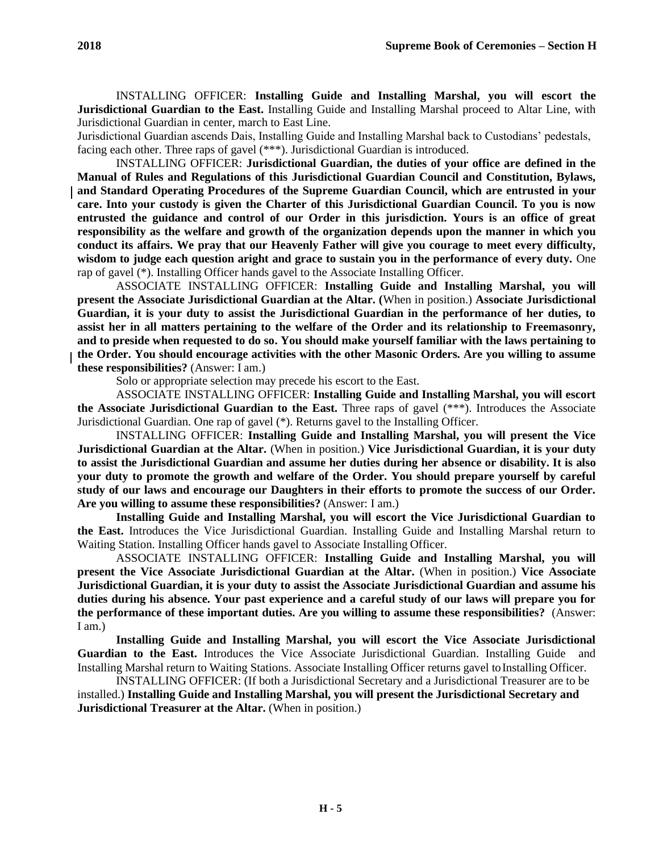INSTALLING OFFICER: **Installing Guide and Installing Marshal, you will escort the Jurisdictional Guardian to the East.** Installing Guide and Installing Marshal proceed to Altar Line, with Jurisdictional Guardian in center, march to East Line.

Jurisdictional Guardian ascends Dais, Installing Guide and Installing Marshal back to Custodians' pedestals, facing each other. Three raps of gavel (\*\*\*). Jurisdictional Guardian is introduced.

INSTALLING OFFICER: **Jurisdictional Guardian, the duties of your office are defined in the Manual of Rules and Regulations of this Jurisdictional Guardian Council and Constitution, Bylaws, and Standard Operating Procedures of the Supreme Guardian Council, which are entrusted in your care. Into your custody is given the Charter of this Jurisdictional Guardian Council. To you is now entrusted the guidance and control of our Order in this jurisdiction. Yours is an office of great responsibility as the welfare and growth of the organization depends upon the manner in which you conduct its affairs. We pray that our Heavenly Father will give you courage to meet every difficulty, wisdom to judge each question aright and grace to sustain you in the performance of every duty.** One rap of gavel (\*). Installing Officer hands gavel to the Associate Installing Officer.

ASSOCIATE INSTALLING OFFICER: **Installing Guide and Installing Marshal, you will present the Associate Jurisdictional Guardian at the Altar. (**When in position.) **Associate Jurisdictional Guardian, it is your duty to assist the Jurisdictional Guardian in the performance of her duties, to assist her in all matters pertaining to the welfare of the Order and its relationship to Freemasonry, and to preside when requested to do so. You should make yourself familiar with the laws pertaining to the Order. You should encourage activities with the other Masonic Orders. Are you willing to assume these responsibilities?** (Answer: I am.)

Solo or appropriate selection may precede his escort to the East.

ASSOCIATE INSTALLING OFFICER: **Installing Guide and Installing Marshal, you will escort the Associate Jurisdictional Guardian to the East.** Three raps of gavel (\*\*\*). Introduces the Associate Jurisdictional Guardian. One rap of gavel (\*). Returns gavel to the Installing Officer.

INSTALLING OFFICER: **Installing Guide and Installing Marshal, you will present the Vice Jurisdictional Guardian at the Altar.** (When in position.) **Vice Jurisdictional Guardian, it is your duty to assist the Jurisdictional Guardian and assume her duties during her absence or disability. It is also your duty to promote the growth and welfare of the Order. You should prepare yourself by careful study of our laws and encourage our Daughters in their efforts to promote the success of our Order. Are you willing to assume these responsibilities?** (Answer: I am.)

**Installing Guide and Installing Marshal, you will escort the Vice Jurisdictional Guardian to the East.** Introduces the Vice Jurisdictional Guardian. Installing Guide and Installing Marshal return to Waiting Station. Installing Officer hands gavel to Associate Installing Officer.

ASSOCIATE INSTALLING OFFICER: **Installing Guide and Installing Marshal, you will present the Vice Associate Jurisdictional Guardian at the Altar.** (When in position.) **Vice Associate Jurisdictional Guardian, it is your duty to assist the Associate Jurisdictional Guardian and assume his duties during his absence. Your past experience and a careful study of our laws will prepare you for the performance of these important duties. Are you willing to assume these responsibilities?** (Answer: I am.)

**Installing Guide and Installing Marshal, you will escort the Vice Associate Jurisdictional Guardian to the East.** Introduces the Vice Associate Jurisdictional Guardian. Installing Guide and Installing Marshal return to Waiting Stations. Associate Installing Officer returns gavel toInstalling Officer.

INSTALLING OFFICER: (If both a Jurisdictional Secretary and a Jurisdictional Treasurer are to be installed.) **Installing Guide and Installing Marshal, you will present the Jurisdictional Secretary and Jurisdictional Treasurer at the Altar.** (When in position.)